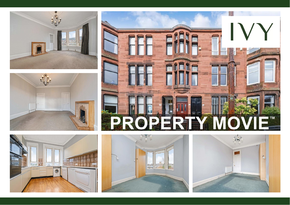









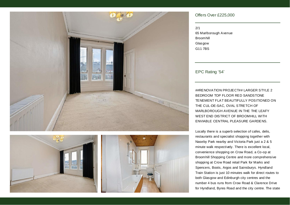





### Offers Over £225,000

| 2/1                   |
|-----------------------|
| 65 Marlborough Avenue |
| <b>Broomhill</b>      |
| Glasgow               |
| G11 7BS               |

### EPC Rating '54'

##RENOVATION PROJECT## LARGER STYLE 2 BEDROOM TOP FLOOR RED SANDSTONE TENEMENT FLAT BEAUTIFULLY POSITIONED ON THE CUL-DE-SAC, OVAL STRETCH OF MARLBOROUGH AVENUE IN THE THE LEAFY WEST END DISTRICT OF BROOMHILL WITH ENVIABLE CENTRAL PLEASURE GARDENS.

Locally there is a superb selection of cafes, delis, restaurants and specialist shopping together with Naseby Park nearby and Victoria Park just a 2 & 5 minute walk respectively. There is excellent local, convenience shopping on Crow Road, a Co-op at Broomhill Shopping Centre and more comprehensive shopping at Crow Road retail Park for Marks and Spencers, Boots, Argos and Sainsburys. Hyndland Train Station is just 10 minutes walk for direct routes to both Glasgow and Edinburgh city centres and the number 4 bus runs from Crow Road & Clarence Drive for Hyndland, Byres Road and the city centre. The state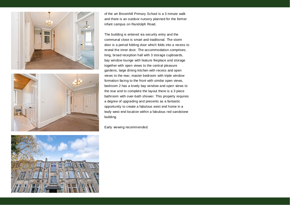



of the art Broomhill Primary School is a 3 minute walk and there is an outdoor nursery planned for the former infant campus on Randolph Road.

The building is entered via security entry and the communal close is smart and traditional. The storm door is a period folding door which folds into a recess to reveal the inner door. The accommodation comprises; long, broad reception hall with 3 storage cupboards, bay window lounge with feature fireplace and storage together with open views to the central pleasure gardens, large dining kitchen with recess and open views to the rear, master bedroom with triple window formation facing to the front with similar open views, bedroom 2 has a lovely bay window and open views to the rear and to complete the layout there is a 3 piece bathroom with over-bath shower. This property requires a degree of upgrading and presents as a fantastic opportunity to create a fabulous west end home in a leafy west end location within a fabulous red sandstone building.

Early viewing recommended.